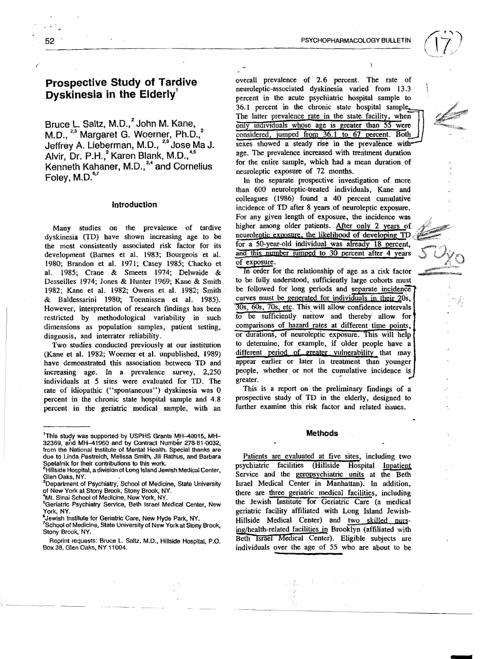# Prospective Study of Tardive Dyskinesia in the Elderly'

Bruce L. Saltz, M.D.,<sup>2</sup> John M. Kane, M.D., <sup>23</sup> Margaret G. Woerner, Ph.D.,<sup>2</sup> Jeffrey A. Lieberman, M.D., 2,3 Jose Ma J. Alvir, Dr. P.H.,<sup>2</sup> Karen Blank, M.D.,<sup>45</sup> Kenneth Kahaner, M.D.,<sup>24</sup> and Cornelius Foley, M.D. $^{\rm 6,7}$ 

# Introduction

Many studies on the prevalence of tardive dyskinesia (TD) have shown increasing age to be the most consistently associated risk factor for its development (Barnes et a1. 1983; Bourgeois et a1. 1980; Brandon et al. 1971; Casey 1985; Chacko et al. 1985; Crane & Smeets 1974; Delwaide & Desseilles 1974; lones & Hunter 1969; Kane & Smith 1982; Kane et al. 1982; Owens et al. 1982; Smith & Baldessarini 1980; Toennissen et al. 1985). However. interpretation of research findings has been restricted by methodological variability in such dimensions as population samples, patient setting, diagnosis, and interrater reliability.

Two studies conducted previously at our institution (Kane et al. 1982; Woerner et al. unpublished, 1989) have demonstrated this association between TD and increasing age. In a prevalence survey, 2,250 individuals at 5 sites were evaluated for TD. The rate of idiopathic ("spontaneous") dyskinesia was 0 percent in the chronic state hospital sample and 4.8 percent in the geriatric medical sample, with an overall prevalence of 2.6 percent. The rate of neuroleptic-associated dyskinesia varied from 13.3 percent in the acute psychiatric hospital sample to  $36.1$  percent in the chronic state hospital sample. The latter prevalence rate in the state facility, when only individuals whose age is greater than 55 were considered, jumped from 36.1 to 67 percent. Both sexes showed a steady rise in the prevalence with age. The prevalence increased with treatment duration for the entire sample, which had a mean duration of neuroleptic exposure of 72 months.

In the separate prospective investigation of more than 600 neuroleptic-treated individuals, Kane and colleagues (1986) found a 40 percent cumulative incidence of TD after 8 years.of neuroleptic exposure. For any given length of exposure, the incidence was higher among older patients. After only 2 years of neuroleptic exposure, the likelihood of developing TD. for a 50-year-old individual was already 18 percent, and this number jumped to 30 percent after 4 years of exposure.

In order for the relationship of age as a risk factor to be fully understood. sufficiently large cohorts must be followed for long periods and separate incidence curves must be generated for individuals in their 20s,  $\overline{30s}$ ,  $\overline{60s}$ ,  $\overline{70s}$ , etc. This will allow confidence intervals to be sufficiently narrow and thereby allow for comparisons of hazard rates at different time points, or durations, of neuroleptic exposure. This will help to detennine, for example, if older people have a different period of greater vulnerability that may appear earlier or later in treatment than younger people, whether or not the cumulative incidence is greater.

This is a report on the preliminary findings of a prospective study of TD in the elderly, designed to further examine this risk factor and related issues.

#### Methods

Patients are evaluated at five sites, including two psychiatric facilities (Hillside Hospital Inpatient Service and the geropsychiatric units at the Beth Israel Medical Center in Manhattan). In addition, there are three geriatric medical facilities, including the Jewish Institute for Geriatric Care (a medical geriatric facility affiliated with Long Island lewish-Hillside Medical Center) and two skilled nursing/health-related facilities in Brooklyn (affiliated with Beth Israel Medical Center). Eligible subjects are individuals over the age of 55 who are about to be

 $\rightarrow \mathbb{Z}_+$ 

lThis study was supported by USPHS Grants MH-40015, MH-32369, and MH-41960 and by Contract Number 278-81-0032, from the National Institute 01 Mental Heallh. Special thanks are due to Linda Pestreich, Melissa Smith, Jill Rathus. and Barbara

Spetalnik for their contributions to this work. 2Hillside Hospital, a division of Long Island Jewish Medical Center. Glen Oaks, NY.

<sup>&</sup>lt;sup>3</sup>Department of Psychiatry, School of Medicine, State University of New York al Stony Brook, Stony Brook, NY.

<sup>.</sup>fMI. Sinai School 01 Medicine, New York. NY,

<sup>&</sup>lt;sup>5</sup>Geriatric Psychiatry Service, Beth Israel Medical Center, New York, NY.

<sup>&</sup>amp;Jewish Institute for Geriatric Care, New Hyde Park, NY.

School of Medicine, State University of New York at Slony Brook, Stony Brook, NY.

Reprint requests: Bruce L. Saltz, M.D., Hillside Hospital, P.O. Box 38, Glen Oaks, NY 11004.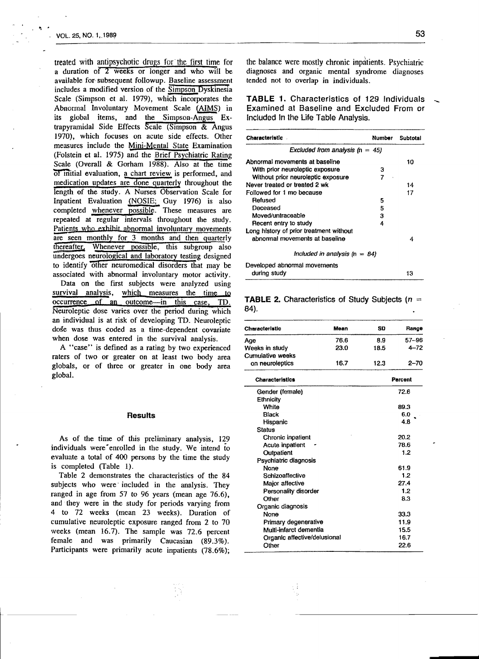treated with antipsychotic drugs for the first time for a duration of 2 weeks or longer and who will be available for· subsequent followup. Baseline assessment includes a modified version of the Simpson Dyskinesia Scale (Simpson et al. 1979), which incorporates the Abnormal Involuntary Movement Scale (AIMS) in its global items, and the Simpson-Angus Extrapyramidal Side Effects Scale (Simpson & Angus 1970), which focuses on acute side effects. Other measures include the Mini-Mental State Examination (Folstein et a1. 1975) and the Brief Psychiatric Rating Scale (Overall & Gorham 1988). Also at the time Of initial evaluation, a chart review is performed, and medication updates are done quarterly throughout the length of the study. A Nurses Observation Scale for Inpatient Evaluation (NOSIE; Guy 1976) is also completed whenever possible. These measures are repeated at regular intervals throughout the study. Patients who exhibit abnormal involuntary movements are seen monthly for 3 months and then quarterly thereafter. Whenever possible, this subgroup also undergoes neuroiogicaI and laboratory testing designed to identify other neuromedical disorders that may be associated with abnormal involuntary motor activity. Data on the first subjects were analyzed using survival analysis, which measures the time to occurrence of an outcome--in this case, TO. Neuroleptic dose varies over the period during which an individual is at risk of developing TO. Neuroleptic dose was thus coded as a time-dependent covariate when dose was entered in the survival analysis.

A "case" is defined as a rating by two experienced raters of two or greater on at least two body area globals, or of three or greater in one body area global.

## **Results**

As of the time of this preliminary analysis, 129 individuals were enrolled in the study. We intend to evaluate a total of 400 persons by the time the study is completed (Table 1).

Table 2 demonstrates the characteristics of the 84 subjects who were included in the analysis. They ranged in age from 57 to 96 years (mean age 76.6), and they were in the study for periods varying from 4 to 72 weeks (mean 23 weeks). Duration of cumulative neuroleptic exposure ranged from 2 to 70 weeks (mean 16.7). The sample was 72.6 percent female and was primarily Caucasian (89.3%). Participants were primarily acute inpatients (78.6%);

the balance were mostly chronic inpatients. Psychiatric diagnoses and organic mental syndrome diagnoses tended not to overlap in individuals.

TABLE 1. Characteristics of 129 Individuals Examined at Baseline and Excluded From or Included In the Life Table Analysis.

| Characteristic                          | Number | Subtotal |  |
|-----------------------------------------|--------|----------|--|
| Excluded from analysis $(n = 45)$       |        |          |  |
| Abnormal movements at baseline          |        | 10       |  |
| With prior neuroleptic exposure         | з      |          |  |
| Without prior neuroleptic exposure      | 7      |          |  |
| Never treated or treated 2 wk           |        | 14       |  |
| Followed for 1 mo because               |        | 17       |  |
| Refused                                 | 5      |          |  |
| Deceased                                | 5      |          |  |
| Moved/untraceable                       | 3      |          |  |
| Recent entry to study                   | 4      |          |  |
| Long history of prior treatment without |        |          |  |
| ahnormal movements at baseline          |        | 4        |  |
| Included in analysis $(n = 84)$         |        |          |  |
| Developed abnormal movements            |        |          |  |
| during study                            |        | 13       |  |

# **TABLE 2.** Characteristics of Study Subjects ( $n =$ 84).

| <b>Characteristic</b>   | Mean | SD   | Range     |
|-------------------------|------|------|-----------|
| Age                     | 76.6 | 8.9  | $57 - 96$ |
| Weeks in study          | 23.0 | 18.5 | $4 - 72$  |
| <b>Cumulative weeks</b> |      |      |           |
| on neuroleptics         | 16.7 | 12.3 | 2–70      |

| <b>Characteristics</b>       | Parcent |  |
|------------------------------|---------|--|
| Gender (female)              | 72.6    |  |
| Ethnicity                    |         |  |
| White                        | 89.3    |  |
| Black                        | 6.0     |  |
| Hispanic                     | 4.8     |  |
| <b>Status</b>                |         |  |
| Chronic inpatient            | 20.2    |  |
| Acute inpatient              | 78.6    |  |
| Outpatient                   | 1.2     |  |
| Psychiatric diagnosis        |         |  |
| None                         | 61.9    |  |
| Schizoaffective              | 1.2     |  |
| Major affective              | 27.4    |  |
| Personality disorder         | 1.2     |  |
| Other                        | 8.3     |  |
| Organic diagnosis            |         |  |
| None                         | 33.3    |  |
| Primary degenerative         | 11.9    |  |
| Multi-infarct dementia       | 15.5    |  |
| Organic affective/delusional | 16.7    |  |
| Other                        | 22.6    |  |
|                              |         |  |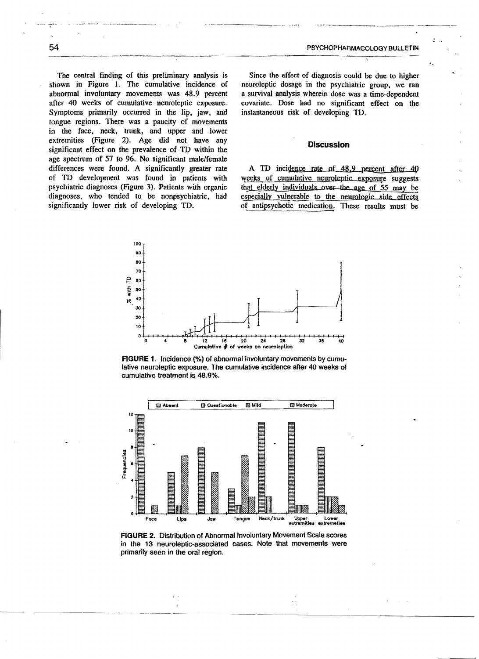ÿ,

The central finding of this preliminary analysis is shown in Figure 1. The cumulative incidence of abnormal involuntary movements was 48.9 percent after 40 weeks of cumulative neuroleptic exposure. Symptoms primarily occurred in the lip, jaw, and tongue regions. There was a paucity of movements in the face, neck, trunk, and upper and lower extremities (Figure 2). Age did not have any significant effect on the prevalence of TD within the age spectrum of 57 to 96. No significant male/female differences were found. A significantly greater rate of TD development was found in patients with psychiatric diagnoses (Figure 3). Patients with organic diagnoses, who tended to be nonpsychiatric, had significantly lower risk of developing TD.

Since the effect of diagnosis could be due to higher neuroleptic dosage in the psychiatric group, we ran a survival analysis wherein dose was a time-dependent covariate. Dose had no significant effect on the instantaneous risk of developing TD.

### **Discussion**

A TD incidence rate of 48.9 percent after 40 weeks of cumulative neuroleptic exposure suggests that elderly individuals over the age of 55 may be especially vulnerable to the neurologic side effects of antipsychotic medication. These results must be



FIGURE 1. Incidence (%) of abnormal involuntary movements by cumulative neuroleptic exposure. The cumulative incidence after 40 weeks of curnulative treatment is 48.9%.



FIGURE 2. Distribution of Abnormal Involuntary Movement Scale scores in the 13 neuroleptic-associated cases. Note that movements were primarily seen in the oral region.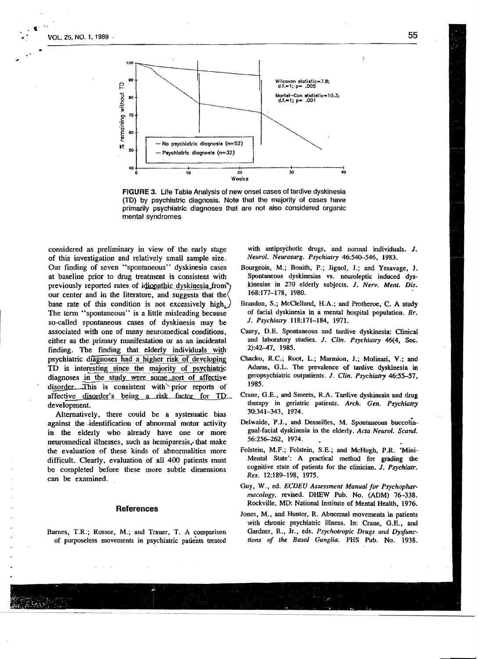

FIGURE 3. life Table Analysis of new onset cases of tardive dyskinesia (TD) by psychiatric diagnosis. Note that the majority of cases have primarily psychiatric diagnoses that are not also considered organic mental syndromes.

considered as preliminary in view of the early stage of this investigation and relatively small sample size. Our finding of seven "spontaneous" dyskinesia cases at baseline prior to drug treatment is consistent with previously reported rates of idionathic dyskinesia from our center and in the literature, and suggests that the base rate of this condition is not excessively high. The term "spontaneous" is a little misleading because so-called spontaneous cases of dyskinesia may be associated with one of many neuromedicaI conditions, either as the primary manifestation or as an incidental finding. The finding that elderly individuals with psychiatric diagnoses had a higher risk of developing TD is interesting since the majority of psychiatric diagnoses in the study were some sort of affective disorder. This is consistent with prior reports of affective disorder's being a risk factor for TD. development.

Alternatively, there could be a systematic bias against the -identification of abnormal motor activity in the elderly who already have one or more neuromedical illnesses, such as hemiparesis,- that make the evaluation of these kinds of abnormalities more difficult. Clearly, evaluation of all 400 patients must be completed before these more subtle dimensions can be examined.

### References

Barnes, T.R.; Rossor. M.; and Trauer. T. A comparison of purposeless movements in psychiatric patients treated

with antipsychotic drugs, and normal individuals. J. *Neurol. Neurosurg. Psychiatry* 46:540-546. 1983.

- Bourgeois, M.; Bouith, P.; Jignol, J.; and Yesavage. J. Spontaneous dyskinesias vs. neuroleptic induced dyskinesias in 270 elderly subjects. J. *Nerv. Ment. Dis.*  168:177-178, 1980. '
- Brandon, S.; McClelland, H.A.; and Protheroe, C. A study of facial dyskinesia in a mental hospital population. *Br.*  J. *Psychiatry* 118:171-184, 1971.
- Casey, D.E. Spontaneous and tardive dyskinesia: Clinical and laboratory studies. J. CUn. *Psychiatry* 46{4, Sec. 2):42-47, 1985.
- Chacko, R.C.; Root, L.; Marmion. J.; Molinari, V.; and Adams, G.L. The prevalence of tardive dyskinesia in geropsychiatric outpatients. J. CUn. *Psychiatry* 46:55-57, 1985.
- Crane, G.E., and Smeets, R.A. Tardive dyskinesia and drug therapy in geriatric patients. *Arch. Gen. Psychiatry* 30:341-343, 1974.
- Delwaide, P.J., and Desseilles, M. Spontaneous buccolingual·facial dyskinesia in the elderly. *Acta Neurol. Scand.*  56:256-262, 1974.
- Folstein, M.F.; Folstein, S.E.; and McHugh, P.R. 'Mini-Mental State': A practical method for grading the cognitive state of patients for the clinician. J. *psychialr. Res.* 12:189-198, 1975.
- Guy, W., ed. *ECDEU Assessment Manual for Psychopharmacology,* revised. DHEW Pub. No. (ADM) 76-338. Rockville, MD: National Institute of Mental Health, 1976.
- Jones, M., and Hunter, R. Abnormal movements in patients with chronic psychiatric illness. In: Crane, G.E., and Gardner, R., Jr., eds. *Psychotropic Drugs and Dysfunctions of the Basal Ganglia.* PHS Pub. No. 1938.